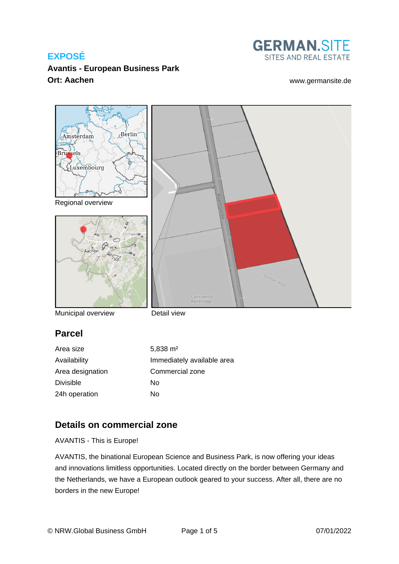

**Avantis - European Business Park Ort: Aachen** [www.germansite.de](http://www.germansite.de)



Municipal overview

Detail view

### **Parcel**

Area size 5,838 m<sup>2</sup> Divisible No 24h operation No

Availability **Immediately** available area Area designation Commercial zone

# **Details on commercial zone**

AVANTIS - This is Europe!

AVANTIS, the binational European Science and Business Park, is now offering your ideas and innovations limitless opportunities. Located directly on the border between Germany and the Netherlands, we have a European outlook geared to your success. After all, there are no borders in the new Europe!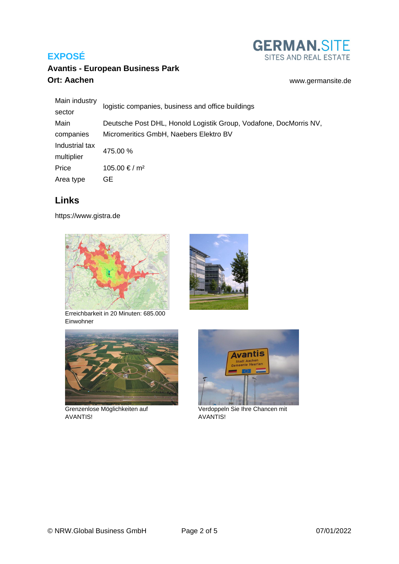

# **Avantis - European Business Park Ort: Aachen** [www.germansite.de](http://www.germansite.de)

| Main industry<br>sector | logistic companies, business and office buildings                 |
|-------------------------|-------------------------------------------------------------------|
|                         |                                                                   |
| Main                    | Deutsche Post DHL, Honold Logistik Group, Vodafone, DocMorris NV, |
| companies               | Micromeritics GmbH, Naebers Elektro BV                            |
| Industrial tax          | 475.00 %                                                          |
| multiplier              |                                                                   |
| Price                   | 105.00 € / m <sup>2</sup>                                         |
| Area type               | GE.                                                               |

# **Links**

<https://www.gistra.de>







Grenzenlose Möglichkeiten auf AVANTIS!





Verdoppeln Sie Ihre Chancen mit AVANTIS!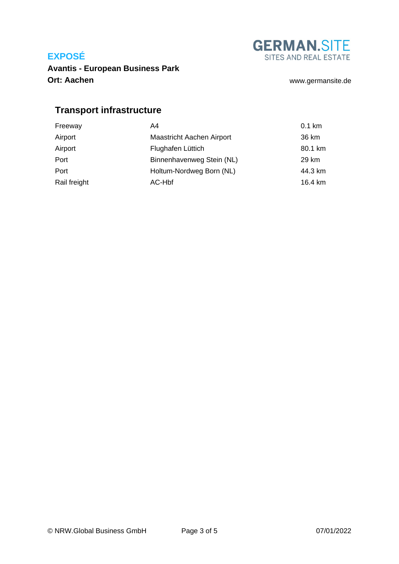**GERMAN.SITE** SITES AND REAL ESTATE

**Avantis - European Business Park Ort: Aachen** [www.germansite.de](http://www.germansite.de)

# **Transport infrastructure**

| Freeway      | A4                               | $0.1$ km |
|--------------|----------------------------------|----------|
| Airport      | <b>Maastricht Aachen Airport</b> | 36 km    |
| Airport      | Flughafen Lüttich                | 80.1 km  |
| Port         | Binnenhavenweg Stein (NL)        | 29 km    |
| Port         | Holtum-Nordweg Born (NL)         | 44.3 km  |
| Rail freight | AC-Hbf                           | 16.4 km  |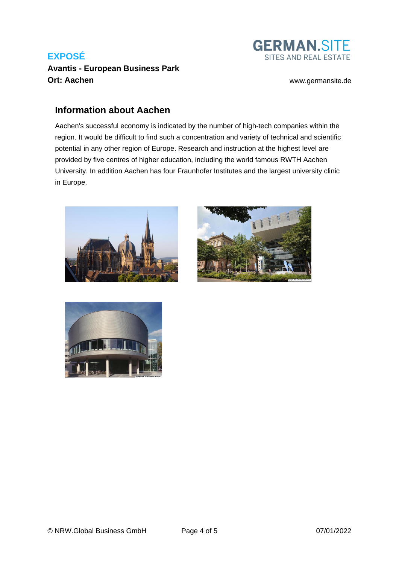### **Avantis - European Business Park Ort: Aachen [www.germansite.de](http://www.germansite.de)**

**GERMAN.SITE** SITES AND REAL ESTATE

### **Information about Aachen**

Aachen's successful economy is indicated by the number of high-tech companies within the region. It would be difficult to find such a concentration and variety of technical and scientific potential in any other region of Europe. Research and instruction at the highest level are provided by five centres of higher education, including the world famous RWTH Aachen University. In addition Aachen has four Fraunhofer Institutes and the largest university clinic in Europe.